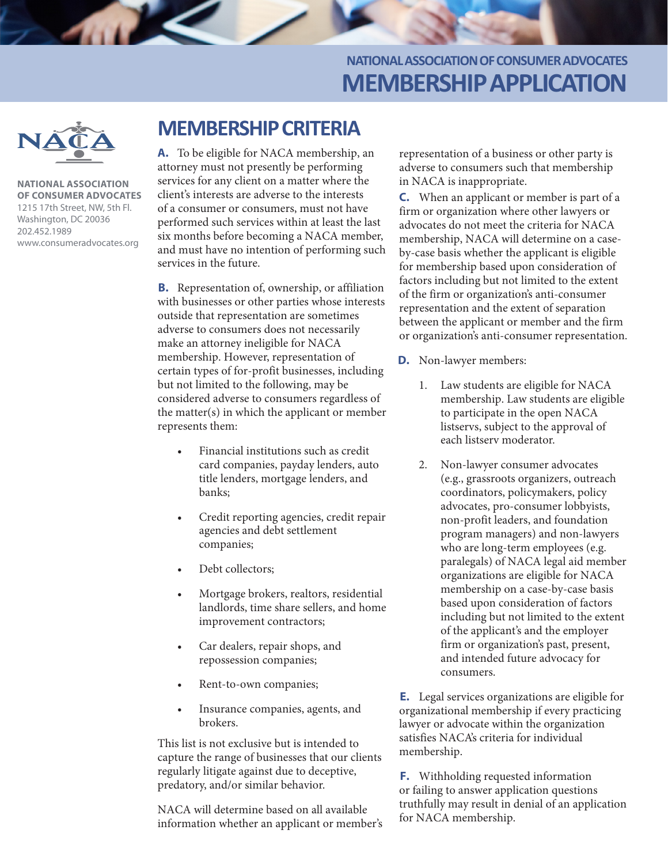### **NATIONAL ASSOCIATION OF CONSUMER ADVOCATES MEMBERSHIP APPLICATION**



**NATIONAL ASSOCIATION OF CONSUMER ADVOCATES** 1215 17th Street, NW, 5th Fl. Washington, DC 20036 202.452.1989 www.consumeradvocates.org

# **MEMBERSHIP CRITERIA**

**A.** To be eligible for NACA membership, an attorney must not presently be performing services for any client on a matter where the client's interests are adverse to the interests of a consumer or consumers, must not have performed such services within at least the last six months before becoming a NACA member, and must have no intention of performing such services in the future.

**B.** Representation of, ownership, or affiliation with businesses or other parties whose interests outside that representation are sometimes adverse to consumers does not necessarily make an attorney ineligible for NACA membership. However, representation of certain types of for-profit businesses, including but not limited to the following, may be considered adverse to consumers regardless of the matter(s) in which the applicant or member represents them:

- Financial institutions such as credit card companies, payday lenders, auto title lenders, mortgage lenders, and banks;
- Credit reporting agencies, credit repair agencies and debt settlement companies;
- Debt collectors;
- Mortgage brokers, realtors, residential landlords, time share sellers, and home improvement contractors;
- Car dealers, repair shops, and repossession companies;
- Rent-to-own companies;
- Insurance companies, agents, and brokers.

This list is not exclusive but is intended to capture the range of businesses that our clients regularly litigate against due to deceptive, predatory, and/or similar behavior.

NACA will determine based on all available information whether an applicant or member's representation of a business or other party is adverse to consumers such that membership in NACA is inappropriate.

**C.** When an applicant or member is part of a firm or organization where other lawyers or advocates do not meet the criteria for NACA membership, NACA will determine on a caseby-case basis whether the applicant is eligible for membership based upon consideration of factors including but not limited to the extent of the firm or organization's anti-consumer representation and the extent of separation between the applicant or member and the firm or organization's anti-consumer representation.

- **D.** Non-lawyer members:
	- 1. Law students are eligible for NACA membership. Law students are eligible to participate in the open NACA listservs, subject to the approval of each listserv moderator.
	- 2. Non-lawyer consumer advocates (e.g., grassroots organizers, outreach coordinators, policymakers, policy advocates, pro-consumer lobbyists, non-profit leaders, and foundation program managers) and non-lawyers who are long-term employees (e.g. paralegals) of NACA legal aid member organizations are eligible for NACA membership on a case-by-case basis based upon consideration of factors including but not limited to the extent of the applicant's and the employer firm or organization's past, present, and intended future advocacy for consumers.

**E.** Legal services organizations are eligible for organizational membership if every practicing lawyer or advocate within the organization satisfies NACA's criteria for individual membership.

**F.** Withholding requested information or failing to answer application questions truthfully may result in denial of an application for NACA membership.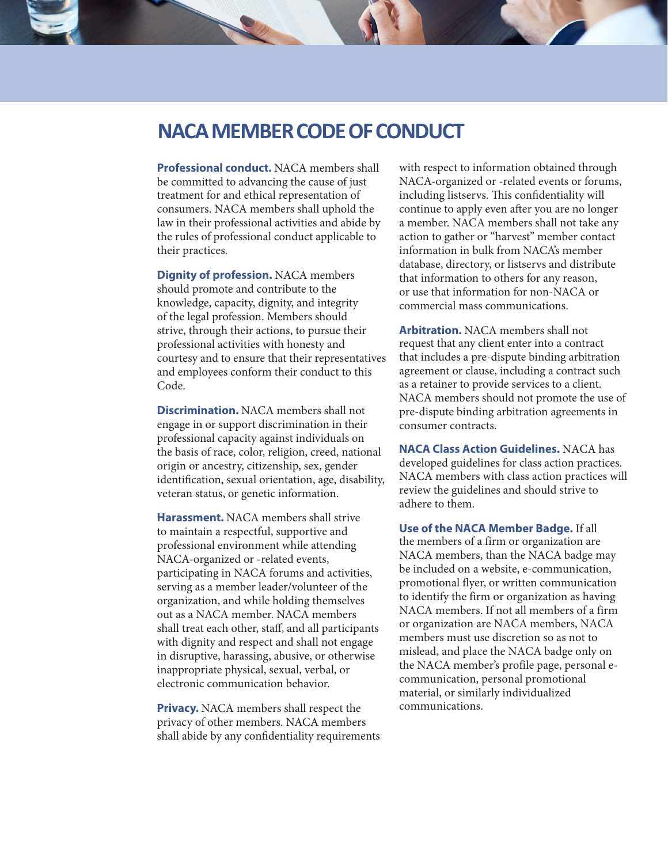## **NACA MEMBER CODE OF CONDUCT**

**Professional conduct.** NACA members shall be committed to advancing the cause of just treatment for and ethical representation of consumers. NACA members shall uphold the law in their professional activities and abide by the rules of professional conduct applicable to their practices.

**Dignity of profession.** NACA members should promote and contribute to the knowledge, capacity, dignity, and integrity of the legal profession. Members should strive, through their actions, to pursue their professional activities with honesty and courtesy and to ensure that their representatives and employees conform their conduct to this Code.

**Discrimination.** NACA members shall not engage in or support discrimination in their professional capacity against individuals on the basis of race, color, religion, creed, national origin or ancestry, citizenship, sex, gender identification, sexual orientation, age, disability, veteran status, or genetic information.

**Harassment.** NACA members shall strive to maintain a respectful, supportive and professional environment while attending NACA-organized or -related events, participating in NACA forums and activities, serving as a member leader/volunteer of the organization, and while holding themselves out as a NACA member. NACA members shall treat each other, staff, and all participants with dignity and respect and shall not engage in disruptive, harassing, abusive, or otherwise inappropriate physical, sexual, verbal, or electronic communication behavior.

**Privacy.** NACA members shall respect the privacy of other members. NACA members shall abide by any confidentiality requirements with respect to information obtained through NACA-organized or -related events or forums, including listservs. This confidentiality will continue to apply even after you are no longer a member. NACA members shall not take any action to gather or "harvest" member contact information in bulk from NACA's member database, directory, or listservs and distribute that information to others for any reason, or use that information for non-NACA or commercial mass communications.

**Arbitration.** NACA members shall not request that any client enter into a contract that includes a pre-dispute binding arbitration agreement or clause, including a contract such as a retainer to provide services to a client. NACA members should not promote the use of pre-dispute binding arbitration agreements in consumer contracts.

**NACA Class Action Guidelines.** NACA has developed guidelines for class action practices. NACA members with class action practices will review the guidelines and should strive to adhere to them.

**Use of the NACA Member Badge.** If all the members of a firm or organization are NACA members, than the NACA badge may be included on a website, e-communication, promotional flyer, or written communication to identify the firm or organization as having NACA members. If not all members of a firm or organization are NACA members, NACA members must use discretion so as not to mislead, and place the NACA badge only on the NACA member's profile page, personal ecommunication, personal promotional material, or similarly individualized communications.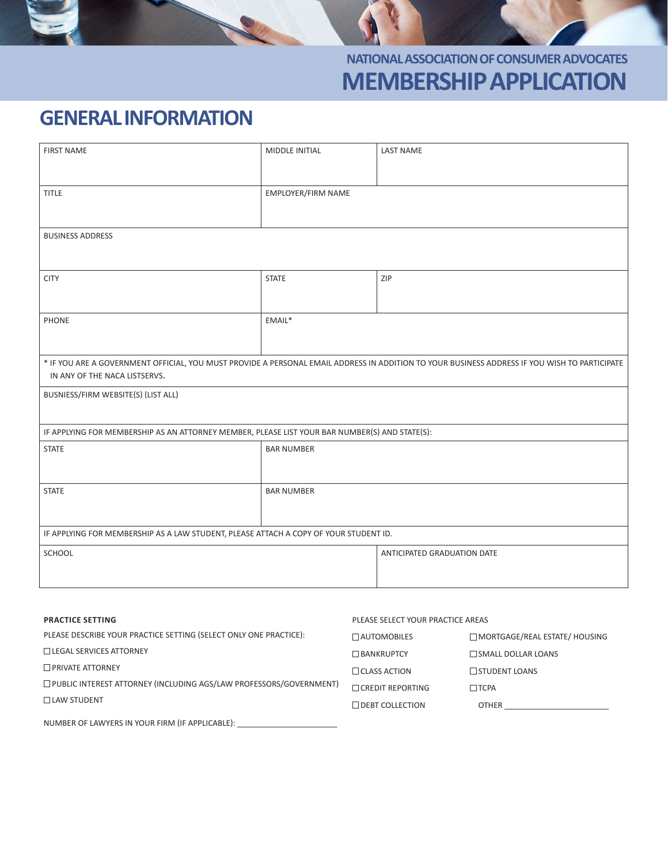

# **GENERAL INFORMATION**

| <b>FIRST NAME</b>                                                                                                                             | MIDDLE INITIAL     | <b>LAST NAME</b>                  |                                      |
|-----------------------------------------------------------------------------------------------------------------------------------------------|--------------------|-----------------------------------|--------------------------------------|
|                                                                                                                                               |                    |                                   |                                      |
| <b>TITLE</b>                                                                                                                                  | EMPLOYER/FIRM NAME |                                   |                                      |
|                                                                                                                                               |                    |                                   |                                      |
|                                                                                                                                               |                    |                                   |                                      |
| <b>BUSINESS ADDRESS</b>                                                                                                                       |                    |                                   |                                      |
|                                                                                                                                               |                    |                                   |                                      |
| <b>CITY</b>                                                                                                                                   | <b>STATE</b>       | ZIP                               |                                      |
|                                                                                                                                               |                    |                                   |                                      |
|                                                                                                                                               |                    |                                   |                                      |
| <b>PHONE</b>                                                                                                                                  | EMAIL*             |                                   |                                      |
|                                                                                                                                               |                    |                                   |                                      |
| * IF YOU ARE A GOVERNMENT OFFICIAL, YOU MUST PROVIDE A PERSONAL EMAIL ADDRESS IN ADDITION TO YOUR BUSINESS ADDRESS IF YOU WISH TO PARTICIPATE |                    |                                   |                                      |
| IN ANY OF THE NACA LISTSERVS.                                                                                                                 |                    |                                   |                                      |
| BUSNIESS/FIRM WEBSITE(S) (LIST ALL)                                                                                                           |                    |                                   |                                      |
|                                                                                                                                               |                    |                                   |                                      |
| IF APPLYING FOR MEMBERSHIP AS AN ATTORNEY MEMBER, PLEASE LIST YOUR BAR NUMBER(S) AND STATE(S):                                                |                    |                                   |                                      |
| <b>STATE</b>                                                                                                                                  | <b>BAR NUMBER</b>  |                                   |                                      |
|                                                                                                                                               |                    |                                   |                                      |
| <b>STATE</b>                                                                                                                                  | <b>BAR NUMBER</b>  |                                   |                                      |
|                                                                                                                                               |                    |                                   |                                      |
|                                                                                                                                               |                    |                                   |                                      |
| IF APPLYING FOR MEMBERSHIP AS A LAW STUDENT, PLEASE ATTACH A COPY OF YOUR STUDENT ID.                                                         |                    |                                   |                                      |
| SCHOOL                                                                                                                                        |                    | ANTICIPATED GRADUATION DATE       |                                      |
|                                                                                                                                               |                    |                                   |                                      |
|                                                                                                                                               |                    |                                   |                                      |
|                                                                                                                                               |                    |                                   |                                      |
| <b>PRACTICE SETTING</b>                                                                                                                       |                    | PLEASE SELECT YOUR PRACTICE AREAS |                                      |
| PLEASE DESCRIBE YOUR PRACTICE SETTING (SELECT ONLY ONE PRACTICE):                                                                             |                    | $\Box$ AUTOMOBILES                | $\Box$ MORTGAGE/REAL ESTATE/ HOUSING |
| $\Box$ LEGAL SERVICES ATTORNEY                                                                                                                |                    | <b>BANKRUPTCY</b>                 | SMALL DOLLAR LOANS                   |
| PRIVATE ATTORNEY                                                                                                                              |                    | $\Box$ CLASS ACTION               | STUDENT LOANS                        |

 $\Box$  CREDIT REPORTING  $\Box$  TCPA

NUMBER OF LAWYERS IN YOUR FIRM (IF APPLICABLE):  $\Box$  DEBT COLLECTION OTHER

PUBLIC INTEREST ATTORNEY (INCLUDING AGS/LAW PROFESSORS/GOVERNMENT)

 $\Box$  LAW STUDENT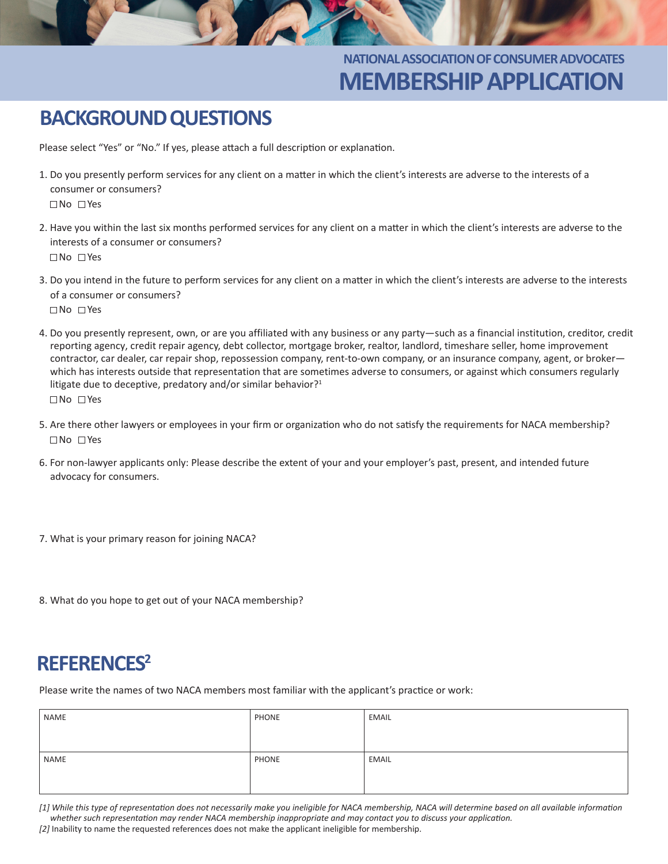## **NATIONAL ASSOCIATION OF CONSUMER ADVOCATES MEMBERSHIP APPLICATION**

# **BACKGROUND QUESTIONS**

Please select "Yes" or "No." If yes, please attach a full description or explanation.

- 1. Do you presently perform services for any client on a matter in which the client's interests are adverse to the interests of a consumer or consumers? No Yes
- 2. Have you within the last six months performed services for any client on a matter in which the client's interests are adverse to the interests of a consumer or consumers? No Yes
- 3. Do you intend in the future to perform services for any client on a matter in which the client's interests are adverse to the interests of a consumer or consumers? No Yes
- 4. Do you presently represent, own, or are you affiliated with any business or any party—such as a financial institution, creditor, credit reporting agency, credit repair agency, debt collector, mortgage broker, realtor, landlord, timeshare seller, home improvement contractor, car dealer, car repair shop, repossession company, rent-to-own company, or an insurance company, agent, or broker which has interests outside that representation that are sometimes adverse to consumers, or against which consumers regularly litigate due to deceptive, predatory and/or similar behavior?<sup>1</sup> No Yes
- 5. Are there other lawyers or employees in your firm or organization who do not satisfy the requirements for NACA membership? No Yes
- 6. For non-lawyer applicants only: Please describe the extent of your and your employer's past, present, and intended future advocacy for consumers.
- 7. What is your primary reason for joining NACA?
- 8. What do you hope to get out of your NACA membership?

## **REFERENCES2**

Please write the names of two NACA members most familiar with the applicant's practice or work:

| NAME | PHONE | EMAIL |
|------|-------|-------|
|      |       |       |
|      |       |       |
| NAME | PHONE | EMAIL |
|      |       |       |
|      |       |       |

*[1] While this type of representation does not necessarily make you ineligible for NACA membership, NACA will determine based on all available information whether such representation may render NACA membership inappropriate and may contact you to discuss your application. [2]* Inability to name the requested references does not make the applicant ineligible for membership.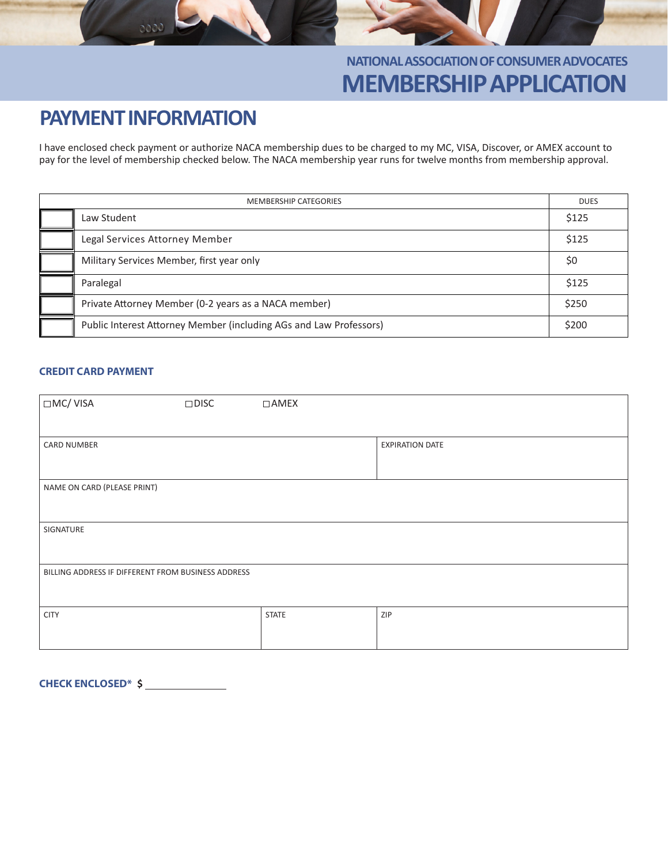

# **PAYMENT INFORMATION**

0000

I have enclosed check payment or authorize NACA membership dues to be charged to my MC, VISA, Discover, or AMEX account to pay for the level of membership checked below. The NACA membership year runs for twelve months from membership approval.

| <b>MEMBERSHIP CATEGORIES</b> |                                                                    | <b>DUES</b> |
|------------------------------|--------------------------------------------------------------------|-------------|
|                              | Law Student                                                        | \$125       |
|                              | Legal Services Attorney Member                                     | \$125       |
|                              | Military Services Member, first year only                          | \$0         |
|                              | Paralegal                                                          | \$125       |
|                              | Private Attorney Member (0-2 years as a NACA member)               | \$250       |
|                              | Public Interest Attorney Member (including AGs and Law Professors) | \$200       |

#### **CREDIT CARD PAYMENT**

| $\Box$ MC/VISA                                     | $\square$ DISC | $\Box$ AMEX  |                        |  |
|----------------------------------------------------|----------------|--------------|------------------------|--|
| <b>CARD NUMBER</b>                                 |                |              | <b>EXPIRATION DATE</b> |  |
|                                                    |                |              |                        |  |
| NAME ON CARD (PLEASE PRINT)                        |                |              |                        |  |
| SIGNATURE                                          |                |              |                        |  |
| BILLING ADDRESS IF DIFFERENT FROM BUSINESS ADDRESS |                |              |                        |  |
| <b>CITY</b>                                        |                | <b>STATE</b> | ZIP                    |  |

**CHECK ENCLOSED\* \$**